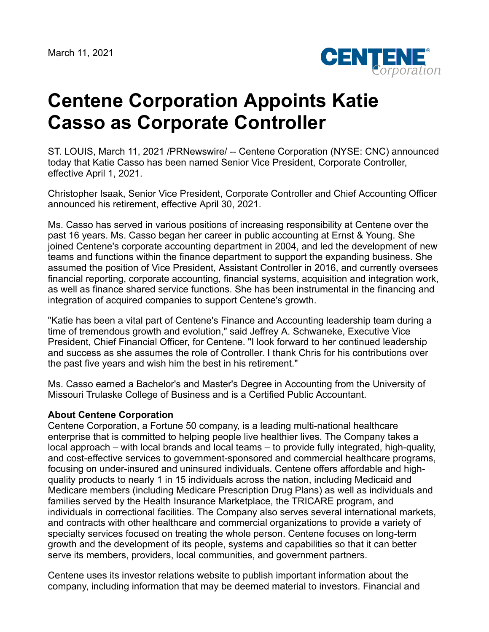

## **Centene Corporation Appoints Katie Casso as Corporate Controller**

ST. LOUIS, March 11, 2021 /PRNewswire/ -- Centene Corporation (NYSE: CNC) announced today that Katie Casso has been named Senior Vice President, Corporate Controller, effective April 1, 2021.

Christopher Isaak, Senior Vice President, Corporate Controller and Chief Accounting Officer announced his retirement, effective April 30, 2021.

Ms. Casso has served in various positions of increasing responsibility at Centene over the past 16 years. Ms. Casso began her career in public accounting at Ernst & Young. She joined Centene's corporate accounting department in 2004, and led the development of new teams and functions within the finance department to support the expanding business. She assumed the position of Vice President, Assistant Controller in 2016, and currently oversees financial reporting, corporate accounting, financial systems, acquisition and integration work, as well as finance shared service functions. She has been instrumental in the financing and integration of acquired companies to support Centene's growth.

"Katie has been a vital part of Centene's Finance and Accounting leadership team during a time of tremendous growth and evolution," said Jeffrey A. Schwaneke, Executive Vice President, Chief Financial Officer, for Centene. "I look forward to her continued leadership and success as she assumes the role of Controller. I thank Chris for his contributions over the past five years and wish him the best in his retirement."

Ms. Casso earned a Bachelor's and Master's Degree in Accounting from the University of Missouri Trulaske College of Business and is a Certified Public Accountant.

## **About Centene Corporation**

Centene Corporation, a Fortune 50 company, is a leading multi-national healthcare enterprise that is committed to helping people live healthier lives. The Company takes a local approach – with local brands and local teams – to provide fully integrated, high-quality, and cost-effective services to government-sponsored and commercial healthcare programs, focusing on under-insured and uninsured individuals. Centene offers affordable and highquality products to nearly 1 in 15 individuals across the nation, including Medicaid and Medicare members (including Medicare Prescription Drug Plans) as well as individuals and families served by the Health Insurance Marketplace, the TRICARE program, and individuals in correctional facilities. The Company also serves several international markets, and contracts with other healthcare and commercial organizations to provide a variety of specialty services focused on treating the whole person. Centene focuses on long-term growth and the development of its people, systems and capabilities so that it can better serve its members, providers, local communities, and government partners.

Centene uses its investor relations website to publish important information about the company, including information that may be deemed material to investors. Financial and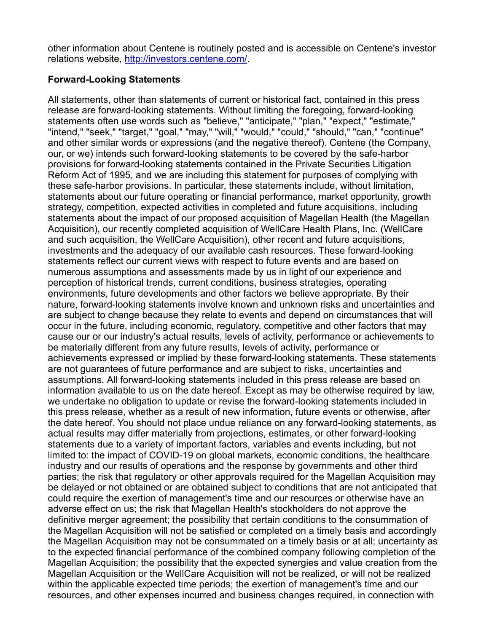other information about Centene is routinely posted and is accessible on Centene's investor relations website, [http://investors.centene.com/.](http://investors.centene.com/)

## **Forward-Looking Statements**

All statements, other than statements of current or historical fact, contained in this press release are forward-looking statements. Without limiting the foregoing, forward-looking statements often use words such as "believe," "anticipate," "plan," "expect," "estimate," "intend," "seek," "target," "goal," "may," "will," "would," "could," "should," "can," "continue" and other similar words or expressions (and the negative thereof). Centene (the Company, our, or we) intends such forward-looking statements to be covered by the safe-harbor provisions for forward-looking statements contained in the Private Securities Litigation Reform Act of 1995, and we are including this statement for purposes of complying with these safe-harbor provisions. In particular, these statements include, without limitation, statements about our future operating or financial performance, market opportunity, growth strategy, competition, expected activities in completed and future acquisitions, including statements about the impact of our proposed acquisition of Magellan Health (the Magellan Acquisition), our recently completed acquisition of WellCare Health Plans, Inc. (WellCare and such acquisition, the WellCare Acquisition), other recent and future acquisitions, investments and the adequacy of our available cash resources. These forward-looking statements reflect our current views with respect to future events and are based on numerous assumptions and assessments made by us in light of our experience and perception of historical trends, current conditions, business strategies, operating environments, future developments and other factors we believe appropriate. By their nature, forward-looking statements involve known and unknown risks and uncertainties and are subject to change because they relate to events and depend on circumstances that will occur in the future, including economic, regulatory, competitive and other factors that may cause our or our industry's actual results, levels of activity, performance or achievements to be materially different from any future results, levels of activity, performance or achievements expressed or implied by these forward-looking statements. These statements are not guarantees of future performance and are subject to risks, uncertainties and assumptions. All forward-looking statements included in this press release are based on information available to us on the date hereof. Except as may be otherwise required by law, we undertake no obligation to update or revise the forward-looking statements included in this press release, whether as a result of new information, future events or otherwise, after the date hereof. You should not place undue reliance on any forward-looking statements, as actual results may differ materially from projections, estimates, or other forward-looking statements due to a variety of important factors, variables and events including, but not limited to: the impact of COVID-19 on global markets, economic conditions, the healthcare industry and our results of operations and the response by governments and other third parties; the risk that regulatory or other approvals required for the Magellan Acquisition may be delayed or not obtained or are obtained subject to conditions that are not anticipated that could require the exertion of management's time and our resources or otherwise have an adverse effect on us; the risk that Magellan Health's stockholders do not approve the definitive merger agreement; the possibility that certain conditions to the consummation of the Magellan Acquisition will not be satisfied or completed on a timely basis and accordingly the Magellan Acquisition may not be consummated on a timely basis or at all; uncertainty as to the expected financial performance of the combined company following completion of the Magellan Acquisition; the possibility that the expected synergies and value creation from the Magellan Acquisition or the WellCare Acquisition will not be realized, or will not be realized within the applicable expected time periods; the exertion of management's time and our resources, and other expenses incurred and business changes required, in connection with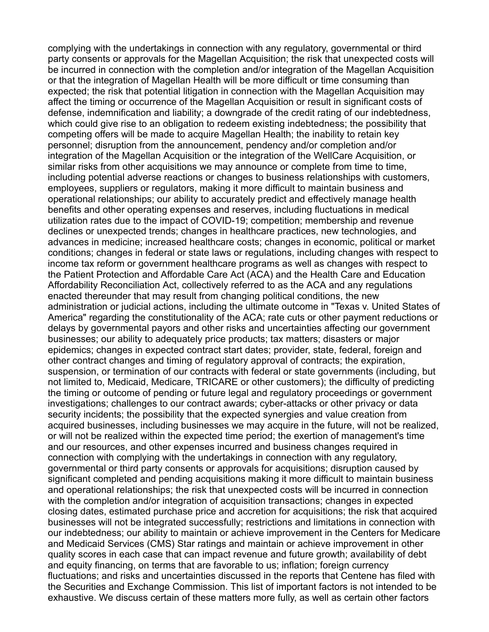complying with the undertakings in connection with any regulatory, governmental or third party consents or approvals for the Magellan Acquisition; the risk that unexpected costs will be incurred in connection with the completion and/or integration of the Magellan Acquisition or that the integration of Magellan Health will be more difficult or time consuming than expected; the risk that potential litigation in connection with the Magellan Acquisition may affect the timing or occurrence of the Magellan Acquisition or result in significant costs of defense, indemnification and liability; a downgrade of the credit rating of our indebtedness, which could give rise to an obligation to redeem existing indebtedness; the possibility that competing offers will be made to acquire Magellan Health; the inability to retain key personnel; disruption from the announcement, pendency and/or completion and/or integration of the Magellan Acquisition or the integration of the WellCare Acquisition, or similar risks from other acquisitions we may announce or complete from time to time, including potential adverse reactions or changes to business relationships with customers, employees, suppliers or regulators, making it more difficult to maintain business and operational relationships; our ability to accurately predict and effectively manage health benefits and other operating expenses and reserves, including fluctuations in medical utilization rates due to the impact of COVID-19; competition; membership and revenue declines or unexpected trends; changes in healthcare practices, new technologies, and advances in medicine; increased healthcare costs; changes in economic, political or market conditions; changes in federal or state laws or regulations, including changes with respect to income tax reform or government healthcare programs as well as changes with respect to the Patient Protection and Affordable Care Act (ACA) and the Health Care and Education Affordability Reconciliation Act, collectively referred to as the ACA and any regulations enacted thereunder that may result from changing political conditions, the new administration or judicial actions, including the ultimate outcome in "Texas v. United States of America" regarding the constitutionality of the ACA; rate cuts or other payment reductions or delays by governmental payors and other risks and uncertainties affecting our government businesses; our ability to adequately price products; tax matters; disasters or major epidemics; changes in expected contract start dates; provider, state, federal, foreign and other contract changes and timing of regulatory approval of contracts; the expiration, suspension, or termination of our contracts with federal or state governments (including, but not limited to, Medicaid, Medicare, TRICARE or other customers); the difficulty of predicting the timing or outcome of pending or future legal and regulatory proceedings or government investigations; challenges to our contract awards; cyber-attacks or other privacy or data security incidents; the possibility that the expected synergies and value creation from acquired businesses, including businesses we may acquire in the future, will not be realized, or will not be realized within the expected time period; the exertion of management's time and our resources, and other expenses incurred and business changes required in connection with complying with the undertakings in connection with any regulatory, governmental or third party consents or approvals for acquisitions; disruption caused by significant completed and pending acquisitions making it more difficult to maintain business and operational relationships; the risk that unexpected costs will be incurred in connection with the completion and/or integration of acquisition transactions; changes in expected closing dates, estimated purchase price and accretion for acquisitions; the risk that acquired businesses will not be integrated successfully; restrictions and limitations in connection with our indebtedness; our ability to maintain or achieve improvement in the Centers for Medicare and Medicaid Services (CMS) Star ratings and maintain or achieve improvement in other quality scores in each case that can impact revenue and future growth; availability of debt and equity financing, on terms that are favorable to us; inflation; foreign currency fluctuations; and risks and uncertainties discussed in the reports that Centene has filed with the Securities and Exchange Commission. This list of important factors is not intended to be exhaustive. We discuss certain of these matters more fully, as well as certain other factors